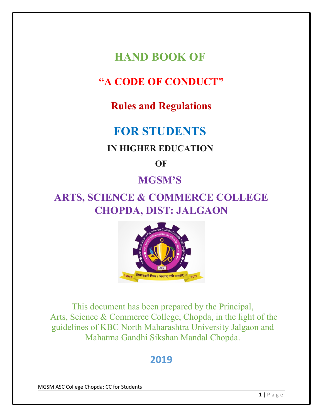**HAND BOOK OF** 

## **"A CODE OF CONDUCT"**

### **Rules and Regulations**

# **FOR STUDENTS**

### **IN HIGHER EDUCATION**

**OF**

### **MGSM'S**

# **ARTS, SCIENCE & COMMERCE COLLEGE CHOPDA, DIST: JALGAON**



This document has been prepared by the Principal, Arts, Science & Commerce College, Chopda, in the light of the guidelines of KBC North Maharashtra University Jalgaon and Mahatma Gandhi Sikshan Mandal Chopda.

## **2019**

MGSM ASC College Chopda: CC for Students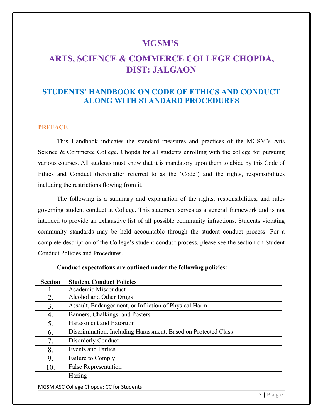#### **MGSM'S**

### **ARTS, SCIENCE & COMMERCE COLLEGE CHOPDA, DIST: JALGAON**

#### **STUDENTS' HANDBOOK ON CODE OF ETHICS AND CONDUCT ALONG WITH STANDARD PROCEDURES**

#### **PREFACE**

This Handbook indicates the standard measures and practices of the MGSM's Arts Science & Commerce College, Chopda for all students enrolling with the college for pursuing various courses. All students must know that it is mandatory upon them to abide by this Code of Ethics and Conduct (hereinafter referred to as the 'Code') and the rights, responsibilities including the restrictions flowing from it.

The following is a summary and explanation of the rights, responsibilities, and rules governing student conduct at College. This statement serves as a general framework and is not intended to provide an exhaustive list of all possible community infractions. Students violating community standards may be held accountable through the student conduct process. For a complete description of the College's student conduct process, please see the section on Student Conduct Policies and Procedures.

| <b>Section</b> | <b>Student Conduct Policies</b>                                |  |
|----------------|----------------------------------------------------------------|--|
| 1.             | Academic Misconduct                                            |  |
| 2.             | Alcohol and Other Drugs                                        |  |
| 3.             | Assault, Endangerment, or Infliction of Physical Harm          |  |
| 4.             | Banners, Chalkings, and Posters                                |  |
| 5.             | Harassment and Extortion                                       |  |
| 6.             | Discrimination, Including Harassment, Based on Protected Class |  |
| 7.             | Disorderly Conduct                                             |  |
| 8.             | <b>Events and Parties</b>                                      |  |
| 9.             | Failure to Comply                                              |  |
| 10.            | <b>False Representation</b>                                    |  |
|                | Hazing                                                         |  |

**Conduct expectations are outlined under the following policies:**

MGSM ASC College Chopda: CC for Students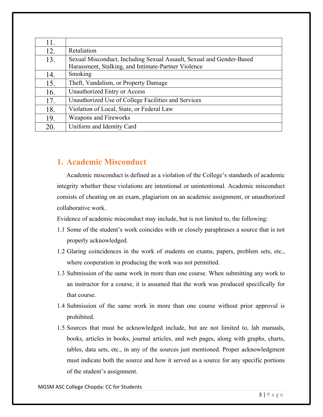| 11. |                                                                                                                             |
|-----|-----------------------------------------------------------------------------------------------------------------------------|
| 12. | Retaliation                                                                                                                 |
| 13. | Sexual Misconduct, Including Sexual Assault, Sexual and Gender-Based<br>Harassment, Stalking, and Intimate-Partner Violence |
| 14. | Smoking                                                                                                                     |
| 15. | Theft, Vandalism, or Property Damage                                                                                        |
| 16. | Unauthorized Entry or Access                                                                                                |
| 17. | Unauthorized Use of College Facilities and Services                                                                         |
| 18. | Violation of Local, State, or Federal Law                                                                                   |
| 19. | Weapons and Fireworks                                                                                                       |
| 20. | Uniform and Identity Card                                                                                                   |

#### **1. Academic Misconduct**

Academic misconduct is defined as a violation of the College's standards of academic integrity whether these violations are intentional or unintentional. Academic misconduct consists of cheating on an exam, plagiarism on an academic assignment, or unauthorized collaborative work.

Evidence of academic misconduct may include, but is not limited to, the following:

- 1.1 Some of the student's work coincides with or closely paraphrases a source that is not properly acknowledged.
- 1.2 Glaring coincidences in the work of students on exams, papers, problem sets, etc., where cooperation in producing the work was not permitted.
- 1.3 Submission of the same work in more than one course. When submitting any work to an instructor for a course, it is assumed that the work was produced specifically for that course.
- 1.4 Submission of the same work in more than one course without prior approval is prohibited.
- 1.5 Sources that must be acknowledged include, but are not limited to, lab manuals, books, articles in books, journal articles, and web pages, along with graphs, charts, tables, data sets, etc., in any of the sources just mentioned. Proper acknowledgment must indicate both the source and how it served as a source for any specific portions of the student's assignment.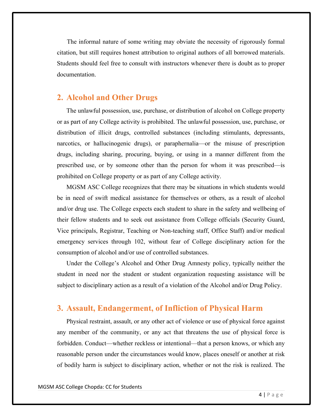The informal nature of some writing may obviate the necessity of rigorously formal citation, but still requires honest attribution to original authors of all borrowed materials. Students should feel free to consult with instructors whenever there is doubt as to proper documentation.

#### **2. Alcohol and Other Drugs**

The unlawful possession, use, purchase, or distribution of alcohol on College property or as part of any College activity is prohibited. The unlawful possession, use, purchase, or distribution of illicit drugs, controlled substances (including stimulants, depressants, narcotics, or hallucinogenic drugs), or paraphernalia—or the misuse of prescription drugs, including sharing, procuring, buying, or using in a manner different from the prescribed use, or by someone other than the person for whom it was prescribed—is prohibited on College property or as part of any College activity.

MGSM ASC College recognizes that there may be situations in which students would be in need of swift medical assistance for themselves or others, as a result of alcohol and/or drug use. The College expects each student to share in the safety and wellbeing of their fellow students and to seek out assistance from College officials (Security Guard, Vice principals, Registrar, Teaching or Non-teaching staff, Office Staff) and/or medical emergency services through 102, without fear of College disciplinary action for the consumption of alcohol and/or use of controlled substances.

Under the College's Alcohol and Other Drug Amnesty policy, typically neither the student in need nor the student or student organization requesting assistance will be subject to disciplinary action as a result of a violation of the Alcohol and/or Drug Policy.

#### **3. Assault, Endangerment, of Infliction of Physical Harm**

Physical restraint, assault, or any other act of violence or use of physical force against any member of the community, or any act that threatens the use of physical force is forbidden. Conduct—whether reckless or intentional—that a person knows, or which any reasonable person under the circumstances would know, places oneself or another at risk of bodily harm is subject to disciplinary action, whether or not the risk is realized. The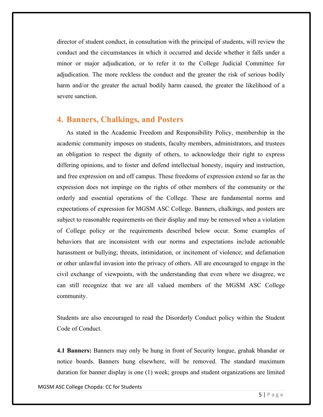director of student conduct, in consultation with the principal of students, will review the conduct and the circumstances in which it occurred and decide whether it falls under a minor or major adjudication, or to refer it to the College Judicial Committee for adjudication. The more reckless the conduct and the greater the risk of serious bodily harm and/or the greater the actual bodily harm caused, the greater the likelihood of a severe sanction.

#### **4. Banners, Chalkings, and Posters**

As stated in the Academic Freedom and Responsibility Policy, membership in the academic community imposes on students, faculty members, administrators, and trustees an obligation to respect the dignity of others, to acknowledge their right to express differing opinions, and to foster and defend intellectual honesty, inquiry and instruction, and free expression on and off campus. These freedoms of expression extend so far as the expression does not impinge on the rights of other members of the community or the orderly and essential operations of the College. These are fundamental norms and expectations of expression for MGSM ASC College. Banners, chalkings, and posters are subject to reasonable requirements on their display and may be removed when a violation of College policy or the requirements described below occur. Some examples of behaviors that are inconsistent with our norms and expectations include actionable harassment or bullying; threats, intimidation, or incitement of violence; and defamation or other unlawful invasion into the privacy of others. All are encouraged to engage in the civil exchange of viewpoints, with the understanding that even where we disagree, we can still recognize that we are all valued members of the MGSM ASC College community.

Students are also encouraged to read the Disorderly Conduct policy within the Student Code of Conduct.

**4.1 Banners:** Banners may only be hung in front of Security longue, grahak bhandar or notice boards. Banners hung elsewhere, will be removed. The standard maximum duration for banner display is one (1) week; groups and student organizations are limited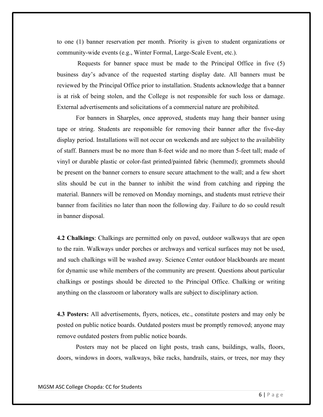to one (1) banner reservation per month. Priority is given to student organizations or community-wide events (e.g., Winter Formal, Large-Scale Event, etc.).

Requests for banner space must be made to the Principal Office in five (5) business day's advance of the requested starting display date. All banners must be reviewed by the Principal Office prior to installation. Students acknowledge that a banner is at risk of being stolen, and the College is not responsible for such loss or damage. External advertisements and solicitations of a commercial nature are prohibited.

For banners in Sharples, once approved, students may hang their banner using tape or string. Students are responsible for removing their banner after the five-day display period. Installations will not occur on weekends and are subject to the availability of staff. Banners must be no more than 8-feet wide and no more than 5-feet tall; made of vinyl or durable plastic or color-fast printed/painted fabric (hemmed); grommets should be present on the banner corners to ensure secure attachment to the wall; and a few short slits should be cut in the banner to inhibit the wind from catching and ripping the material. Banners will be removed on Monday mornings, and students must retrieve their banner from facilities no later than noon the following day. Failure to do so could result in banner disposal.

**4.2 Chalkings**: Chalkings are permitted only on paved, outdoor walkways that are open to the rain. Walkways under porches or archways and vertical surfaces may not be used, and such chalkings will be washed away. Science Center outdoor blackboards are meant for dynamic use while members of the community are present. Questions about particular chalkings or postings should be directed to the Principal Office. Chalking or writing anything on the classroom or laboratory walls are subject to disciplinary action.

**4.3 Posters:** All advertisements, flyers, notices, etc., constitute posters and may only be posted on public notice boards. Outdated posters must be promptly removed; anyone may remove outdated posters from public notice boards.

Posters may not be placed on light posts, trash cans, buildings, walls, floors, doors, windows in doors, walkways, bike racks, handrails, stairs, or trees, nor may they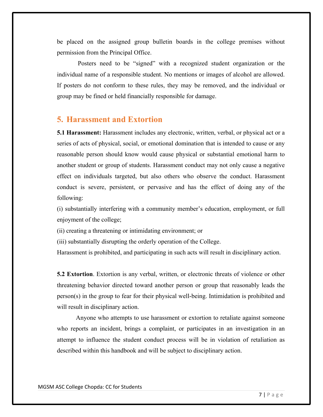be placed on the assigned group bulletin boards in the college premises without permission from the Principal Office.

Posters need to be "signed" with a recognized student organization or the individual name of a responsible student. No mentions or images of alcohol are allowed. If posters do not conform to these rules, they may be removed, and the individual or group may be fined or held financially responsible for damage.

#### **5. Harassment and Extortion**

**5.1 Harassment:** Harassment includes any electronic, written, verbal, or physical act or a series of acts of physical, social, or emotional domination that is intended to cause or any reasonable person should know would cause physical or substantial emotional harm to another student or group of students. Harassment conduct may not only cause a negative effect on individuals targeted, but also others who observe the conduct. Harassment conduct is severe, persistent, or pervasive and has the effect of doing any of the following:

(i) substantially interfering with a community member's education, employment, or full enjoyment of the college;

(ii) creating a threatening or intimidating environment; or

(iii) substantially disrupting the orderly operation of the College.

Harassment is prohibited, and participating in such acts will result in disciplinary action.

**5.2 Extortion**. Extortion is any verbal, written, or electronic threats of violence or other threatening behavior directed toward another person or group that reasonably leads the person(s) in the group to fear for their physical well-being. Intimidation is prohibited and will result in disciplinary action.

Anyone who attempts to use harassment or extortion to retaliate against someone who reports an incident, brings a complaint, or participates in an investigation in an attempt to influence the student conduct process will be in violation of retaliation as described within this handbook and will be subject to disciplinary action.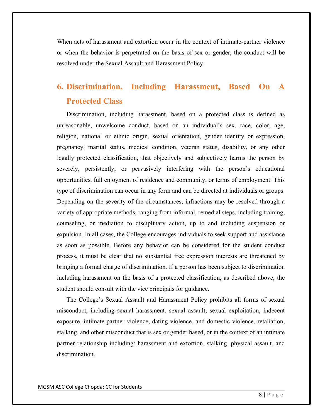When acts of harassment and extortion occur in the context of intimate-partner violence or when the behavior is perpetrated on the basis of sex or gender, the conduct will be resolved under the Sexual Assault and Harassment Policy.

## **6. Discrimination, Including Harassment, Based On A Protected Class**

Discrimination, including harassment, based on a protected class is defined as unreasonable, unwelcome conduct, based on an individual's sex, race, color, age, religion, national or ethnic origin, sexual orientation, gender identity or expression, pregnancy, marital status, medical condition, veteran status, disability, or any other legally protected classification, that objectively and subjectively harms the person by severely, persistently, or pervasively interfering with the person's educational opportunities, full enjoyment of residence and community, or terms of employment. This type of discrimination can occur in any form and can be directed at individuals or groups. Depending on the severity of the circumstances, infractions may be resolved through a variety of appropriate methods, ranging from informal, remedial steps, including training, counseling, or mediation to disciplinary action, up to and including suspension or expulsion. In all cases, the College encourages individuals to seek support and assistance as soon as possible. Before any behavior can be considered for the student conduct process, it must be clear that no substantial free expression interests are threatened by bringing a formal charge of discrimination. If a person has been subject to discrimination including harassment on the basis of a protected classification, as described above, the student should consult with the vice principals for guidance.

The College's Sexual Assault and Harassment Policy prohibits all forms of sexual misconduct, including sexual harassment, sexual assault, sexual exploitation, indecent exposure, intimate-partner violence, dating violence, and domestic violence, retaliation, stalking, and other misconduct that is sex or gender based, or in the context of an intimate partner relationship including: harassment and extortion, stalking, physical assault, and discrimination.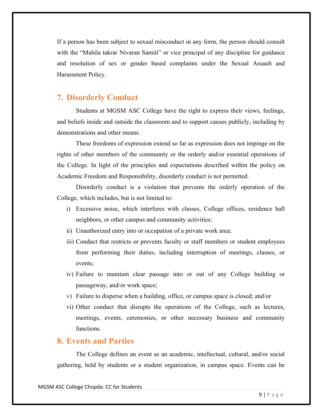If a person has been subject to sexual misconduct in any form, the person should consult with the "Mahila takrar Nivaran Samiti" or vice principal of any discipline for guidance and resolution of sex or gender based complaints under the Sexual Assault and Harassment Policy.

#### **7. Disorderly Conduct**

Students at MGSM ASC College have the right to express their views, feelings, and beliefs inside and outside the classroom and to support causes publicly, including by demonstrations and other means.

These freedoms of expression extend so far as expression does not impinge on the rights of other members of the community or the orderly and/or essential operations of the College. In light of the principles and expectations described within the policy on Academic Freedom and Responsibility, disorderly conduct is not permitted.

Disorderly conduct is a violation that prevents the orderly operation of the College, which includes, but is not limited to:

- i) Excessive noise, which interferes with classes, College offices, residence hall neighbors, or other campus and community activities;
- ii) Unauthorized entry into or occupation of a private work area;
- iii) Conduct that restricts or prevents faculty or staff members or student employees from performing their duties, including interruption of meetings, classes, or events;
- iv) Failure to maintain clear passage into or out of any College building or passageway, and/or work space;
- v) Failure to disperse when a building, office, or campus space is closed; and/or
- vi) Other conduct that disrupts the operations of the College, such as lectures, meetings, events, ceremonies, or other necessary business and community functions.

#### **8. Events and Parties**

The College defines an event as an academic, intellectual, cultural, and/or social gathering, held by students or a student organization, in campus space. Events can be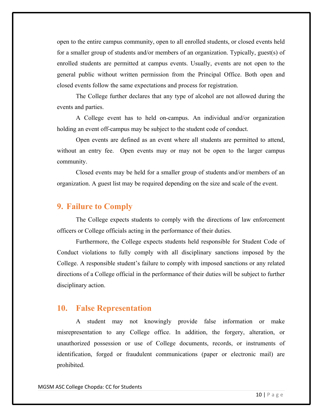open to the entire campus community, open to all enrolled students, or closed events held for a smaller group of students and/or members of an organization. Typically, guest(s) of enrolled students are permitted at campus events. Usually, events are not open to the general public without written permission from the Principal Office. Both open and closed events follow the same expectations and process for registration.

The College further declares that any type of alcohol are not allowed during the events and parties.

A College event has to held on-campus. An individual and/or organization holding an event off-campus may be subject to the student code of conduct.

Open events are defined as an event where all students are permitted to attend, without an entry fee. Open events may or may not be open to the larger campus community.

Closed events may be held for a smaller group of students and/or members of an organization. A guest list may be required depending on the size and scale of the event.

#### **9. Failure to Comply**

The College expects students to comply with the directions of law enforcement officers or College officials acting in the performance of their duties.

Furthermore, the College expects students held responsible for Student Code of Conduct violations to fully comply with all disciplinary sanctions imposed by the College. A responsible student's failure to comply with imposed sanctions or any related directions of a College official in the performance of their duties will be subject to further disciplinary action.

#### **10. False Representation**

A student may not knowingly provide false information or make misrepresentation to any College office. In addition, the forgery, alteration, or unauthorized possession or use of College documents, records, or instruments of identification, forged or fraudulent communications (paper or electronic mail) are prohibited.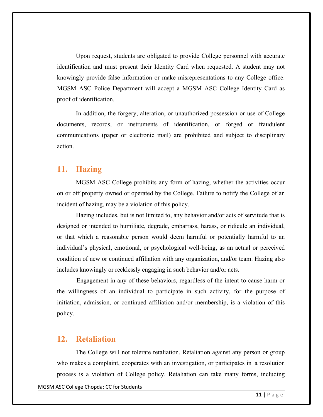Upon request, students are obligated to provide College personnel with accurate identification and must present their Identity Card when requested. A student may not knowingly provide false information or make misrepresentations to any College office. MGSM ASC Police Department will accept a MGSM ASC College Identity Card as proof of identification.

In addition, the forgery, alteration, or unauthorized possession or use of College documents, records, or instruments of identification, or forged or fraudulent communications (paper or electronic mail) are prohibited and subject to disciplinary action.

#### **11. Hazing**

MGSM ASC College prohibits any form of hazing, whether the activities occur on or off property owned or operated by the College. Failure to notify the College of an incident of hazing, may be a violation of this policy.

Hazing includes, but is not limited to, any behavior and/or acts of servitude that is designed or intended to humiliate, degrade, embarrass, harass, or ridicule an individual, or that which a reasonable person would deem harmful or potentially harmful to an individual's physical, emotional, or psychological well-being, as an actual or perceived condition of new or continued affiliation with any organization, and/or team. Hazing also includes knowingly or recklessly engaging in such behavior and/or acts.

Engagement in any of these behaviors, regardless of the intent to cause harm or the willingness of an individual to participate in such activity, for the purpose of initiation, admission, or continued affiliation and/or membership, is a violation of this policy.

#### **12. Retaliation**

MGSM ASC College Chopda: CC for Students The College will not tolerate retaliation. Retaliation against any person or group who makes a complaint, cooperates with an investigation, or participates in a resolution process is a violation of College policy. Retaliation can take many forms, including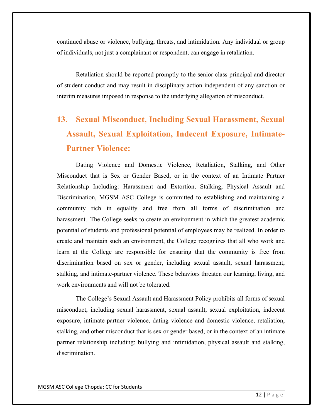continued abuse or violence, bullying, threats, and intimidation. Any individual or group of individuals, not just a complainant or respondent, can engage in retaliation.

Retaliation should be reported promptly to the senior class principal and director of student conduct and may result in disciplinary action independent of any sanction or interim measures imposed in response to the underlying allegation of misconduct.

# **13. Sexual Misconduct, Including Sexual Harassment, Sexual Assault, Sexual Exploitation, Indecent Exposure, Intimate-Partner Violence:**

Dating Violence and Domestic Violence, Retaliation, Stalking, and Other Misconduct that is Sex or Gender Based, or in the context of an Intimate Partner Relationship Including: Harassment and Extortion, Stalking, Physical Assault and Discrimination, MGSM ASC College is committed to establishing and maintaining a community rich in equality and free from all forms of discrimination and harassment. The College seeks to create an environment in which the greatest academic potential of students and professional potential of employees may be realized. In order to create and maintain such an environment, the College recognizes that all who work and learn at the College are responsible for ensuring that the community is free from discrimination based on sex or gender, including sexual assault, sexual harassment, stalking, and intimate-partner violence. These behaviors threaten our learning, living, and work environments and will not be tolerated.

The College's Sexual Assault and Harassment Policy prohibits all forms of sexual misconduct, including sexual harassment, sexual assault, sexual exploitation, indecent exposure, intimate-partner violence, dating violence and domestic violence, retaliation, stalking, and other misconduct that is sex or gender based, or in the context of an intimate partner relationship including: bullying and intimidation, physical assault and stalking, discrimination.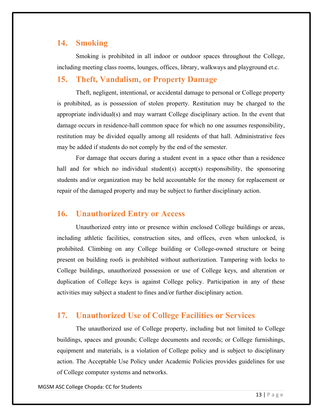#### **14. Smoking**

Smoking is prohibited in all indoor or outdoor spaces throughout the College, including meeting class rooms, lounges, offices, library, walkways and playground et.c.

#### **15. Theft, Vandalism, or Property Damage**

Theft, negligent, intentional, or accidental damage to personal or College property is prohibited, as is possession of stolen property. Restitution may be charged to the appropriate individual(s) and may warrant College disciplinary action. In the event that damage occurs in residence-hall common space for which no one assumes responsibility, restitution may be divided equally among all residents of that hall. Administrative fees may be added if students do not comply by the end of the semester.

For damage that occurs during a student event in a space other than a residence hall and for which no individual student(s) accept(s) responsibility, the sponsoring students and/or organization may be held accountable for the money for replacement or repair of the damaged property and may be subject to further disciplinary action.

#### **16. Unauthorized Entry or Access**

Unauthorized entry into or presence within enclosed College buildings or areas, including athletic facilities, construction sites, and offices, even when unlocked, is prohibited. Climbing on any College building or College-owned structure or being present on building roofs is prohibited without authorization. Tampering with locks to College buildings, unauthorized possession or use of College keys, and alteration or duplication of College keys is against College policy. Participation in any of these activities may subject a student to fines and/or further disciplinary action.

#### **17. Unauthorized Use of College Facilities or Services**

The unauthorized use of College property, including but not limited to College buildings, spaces and grounds; College documents and records; or College furnishings, equipment and materials, is a violation of College policy and is subject to disciplinary action. The Acceptable Use Policy under Academic Policies provides guidelines for use of College computer systems and networks.